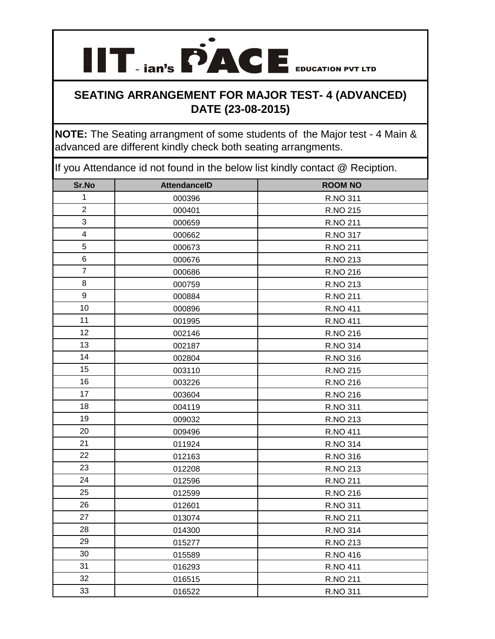**IIT ian's PACE** EDUCATION PVT LTD

**NOTE:** The Seating arrangment of some students of the Major test - 4 Main & advanced are different kindly check both seating arrangments.

| Sr.No          | <b>AttendanceID</b> | <b>ROOM NO</b>  |
|----------------|---------------------|-----------------|
| $\mathbf{1}$   | 000396              | R.NO 311        |
| $\overline{2}$ | 000401              | R.NO 215        |
| 3              | 000659              | R.NO 211        |
| $\overline{4}$ | 000662              | R.NO 317        |
| 5              | 000673              | R.NO 211        |
| 6              | 000676              | R.NO 213        |
| $\overline{7}$ | 000686              | R.NO 216        |
| 8              | 000759              | R.NO 213        |
| 9              | 000884              | R.NO 211        |
| 10             | 000896              | <b>R.NO 411</b> |
| 11             | 001995              | R.NO 411        |
| 12             | 002146              | R.NO 216        |
| 13             | 002187              | R.NO 314        |
| 14             | 002804              | R.NO 316        |
| 15             | 003110              | R.NO 215        |
| 16             | 003226              | R.NO 216        |
| 17             | 003604              | R.NO 216        |
| 18             | 004119              | R.NO 311        |
| 19             | 009032              | R.NO 213        |
| 20             | 009496              | R.NO 411        |
| 21             | 011924              | R.NO 314        |
| 22             | 012163              | R.NO 316        |
| 23             | 012208              | R.NO 213        |
| 24             | 012596              | R.NO 211        |
| 25             | 012599              | R.NO 216        |
| 26             | 012601              | R.NO 311        |
| 27             | 013074              | R.NO 211        |
| 28             | 014300              | R.NO 314        |
| 29             | 015277              | R.NO 213        |
| 30             | 015589              | R.NO 416        |
| 31             | 016293              | R.NO 411        |
| 32             | 016515              | R.NO 211        |
| 33             | 016522              | R.NO 311        |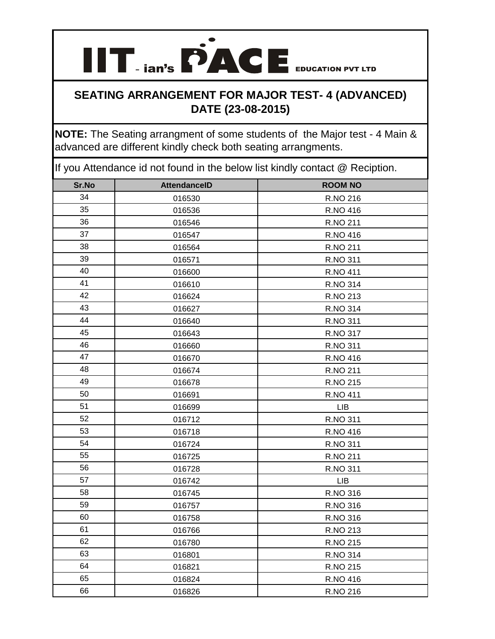**IIT ian's PACE** EDUCATION PVT LTD

**NOTE:** The Seating arrangment of some students of the Major test - 4 Main & advanced are different kindly check both seating arrangments.

| Sr.No | <b>AttendanceID</b> | <b>ROOM NO</b>  |
|-------|---------------------|-----------------|
| 34    | 016530              | R.NO 216        |
| 35    | 016536              | R.NO 416        |
| 36    | 016546              | R.NO 211        |
| 37    | 016547              | R.NO 416        |
| 38    | 016564              | R.NO 211        |
| 39    | 016571              | R.NO 311        |
| 40    | 016600              | <b>R.NO 411</b> |
| 41    | 016610              | R.NO 314        |
| 42    | 016624              | R.NO 213        |
| 43    | 016627              | R.NO 314        |
| 44    | 016640              | R.NO 311        |
| 45    | 016643              | R.NO 317        |
| 46    | 016660              | R.NO 311        |
| 47    | 016670              | R.NO 416        |
| 48    | 016674              | R.NO 211        |
| 49    | 016678              | R.NO 215        |
| 50    | 016691              | R.NO 411        |
| 51    | 016699              | <b>LIB</b>      |
| 52    | 016712              | R.NO 311        |
| 53    | 016718              | R.NO 416        |
| 54    | 016724              | R.NO 311        |
| 55    | 016725              | R.NO 211        |
| 56    | 016728              | R.NO 311        |
| 57    | 016742              | LIB             |
| 58    | 016745              | R.NO 316        |
| 59    | 016757              | R.NO 316        |
| 60    | 016758              | R.NO 316        |
| 61    | 016766              | R.NO 213        |
| 62    | 016780              | R.NO 215        |
| 63    | 016801              | R.NO 314        |
| 64    | 016821              | R.NO 215        |
| 65    | 016824              | R.NO 416        |
| 66    | 016826              | R.NO 216        |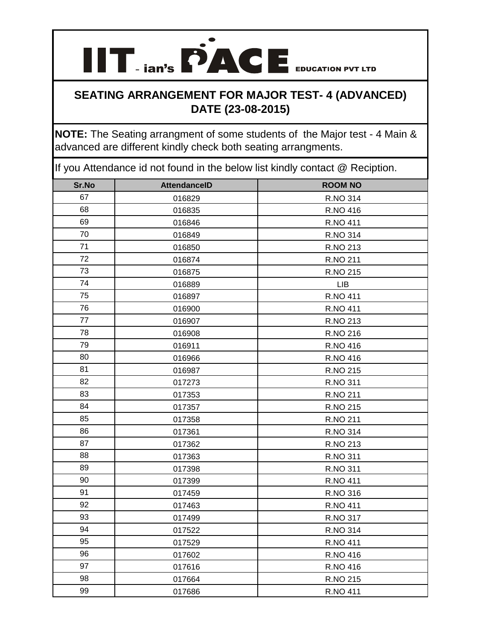**IIT ian's PACE** EDUCATION PVT LTD

**NOTE:** The Seating arrangment of some students of the Major test - 4 Main & advanced are different kindly check both seating arrangments.

| Sr.No | <b>AttendanceID</b> | <b>ROOM NO</b>  |
|-------|---------------------|-----------------|
| 67    | 016829              | R.NO 314        |
| 68    | 016835              | R.NO 416        |
| 69    | 016846              | R.NO 411        |
| 70    | 016849              | R.NO 314        |
| 71    | 016850              | R.NO 213        |
| 72    | 016874              | R.NO 211        |
| 73    | 016875              | R.NO 215        |
| 74    | 016889              | <b>LIB</b>      |
| 75    | 016897              | R.NO 411        |
| 76    | 016900              | R.NO 411        |
| 77    | 016907              | R.NO 213        |
| 78    | 016908              | R.NO 216        |
| 79    | 016911              | R.NO 416        |
| 80    | 016966              | R.NO 416        |
| 81    | 016987              | R.NO 215        |
| 82    | 017273              | R.NO 311        |
| 83    | 017353              | R.NO 211        |
| 84    | 017357              | R.NO 215        |
| 85    | 017358              | R.NO 211        |
| 86    | 017361              | R.NO 314        |
| 87    | 017362              | R.NO 213        |
| 88    | 017363              | R.NO 311        |
| 89    | 017398              | R.NO 311        |
| 90    | 017399              | R.NO 411        |
| 91    | 017459              | R.NO 316        |
| 92    | 017463              | <b>R.NO 411</b> |
| 93    | 017499              | R.NO 317        |
| 94    | 017522              | R.NO 314        |
| 95    | 017529              | <b>R.NO 411</b> |
| 96    | 017602              | R.NO 416        |
| 97    | 017616              | R.NO 416        |
| 98    | 017664              | R.NO 215        |
| 99    | 017686              | <b>R.NO 411</b> |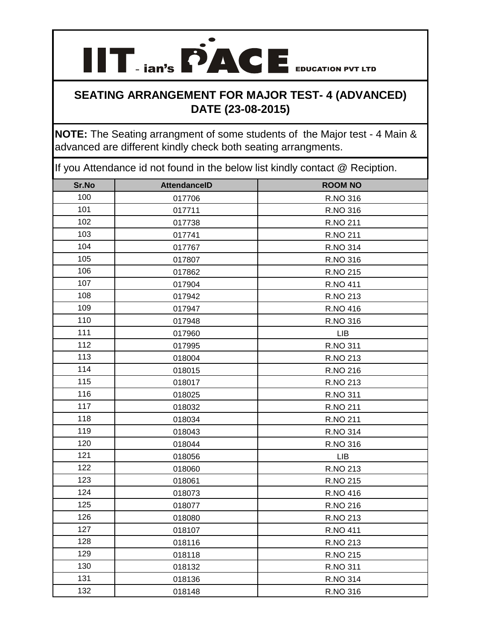**IIT ian's PACE** EDUCATION PVT LTD

**NOTE:** The Seating arrangment of some students of the Major test - 4 Main & advanced are different kindly check both seating arrangments.

| Sr.No | <b>AttendanceID</b> | <b>ROOM NO</b>  |
|-------|---------------------|-----------------|
| 100   | 017706              | R.NO 316        |
| 101   | 017711              | R.NO 316        |
| 102   | 017738              | R.NO 211        |
| 103   | 017741              | R.NO 211        |
| 104   | 017767              | R.NO 314        |
| 105   | 017807              | R.NO 316        |
| 106   | 017862              | R.NO 215        |
| 107   | 017904              | R.NO 411        |
| 108   | 017942              | R.NO 213        |
| 109   | 017947              | R.NO 416        |
| 110   | 017948              | R.NO 316        |
| 111   | 017960              | <b>LIB</b>      |
| 112   | 017995              | R.NO 311        |
| 113   | 018004              | R.NO 213        |
| 114   | 018015              | R.NO 216        |
| 115   | 018017              | R.NO 213        |
| 116   | 018025              | R.NO 311        |
| 117   | 018032              | R.NO 211        |
| 118   | 018034              | R.NO 211        |
| 119   | 018043              | R.NO 314        |
| 120   | 018044              | R.NO 316        |
| 121   | 018056              | <b>LIB</b>      |
| 122   | 018060              | R.NO 213        |
| 123   | 018061              | R.NO 215        |
| 124   | 018073              | R.NO 416        |
| 125   | 018077              | R.NO 216        |
| 126   | 018080              | R.NO 213        |
| 127   | 018107              | <b>R.NO 411</b> |
| 128   | 018116              | R.NO 213        |
| 129   | 018118              | R.NO 215        |
| 130   | 018132              | R.NO 311        |
| 131   | 018136              | R.NO 314        |
| 132   | 018148              | R.NO 316        |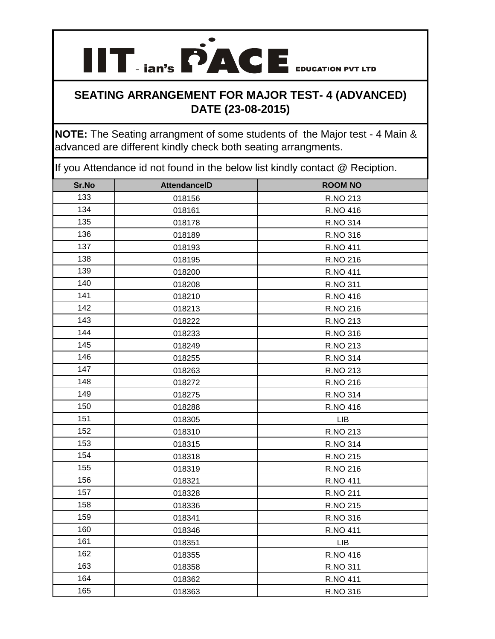**IIT ian's PACE** EDUCATION PVT LTD

**NOTE:** The Seating arrangment of some students of the Major test - 4 Main & advanced are different kindly check both seating arrangments.

| Sr.No | <b>AttendanceID</b> | <b>ROOM NO</b> |
|-------|---------------------|----------------|
| 133   | 018156              | R.NO 213       |
| 134   | 018161              | R.NO 416       |
| 135   | 018178              | R.NO 314       |
| 136   | 018189              | R.NO 316       |
| 137   | 018193              | R.NO 411       |
| 138   | 018195              | R.NO 216       |
| 139   | 018200              | R.NO 411       |
| 140   | 018208              | R.NO 311       |
| 141   | 018210              | R.NO 416       |
| 142   | 018213              | R.NO 216       |
| 143   | 018222              | R.NO 213       |
| 144   | 018233              | R.NO 316       |
| 145   | 018249              | R.NO 213       |
| 146   | 018255              | R.NO 314       |
| 147   | 018263              | R.NO 213       |
| 148   | 018272              | R.NO 216       |
| 149   | 018275              | R.NO 314       |
| 150   | 018288              | R.NO 416       |
| 151   | 018305              | LIB            |
| 152   | 018310              | R.NO 213       |
| 153   | 018315              | R.NO 314       |
| 154   | 018318              | R.NO 215       |
| 155   | 018319              | R.NO 216       |
| 156   | 018321              | R.NO 411       |
| 157   | 018328              | R.NO 211       |
| 158   | 018336              | R.NO 215       |
| 159   | 018341              | R.NO 316       |
| 160   | 018346              | R.NO 411       |
| 161   | 018351              | <b>LIB</b>     |
| 162   | 018355              | R.NO 416       |
| 163   | 018358              | R.NO 311       |
| 164   | 018362              | R.NO 411       |
| 165   | 018363              | R.NO 316       |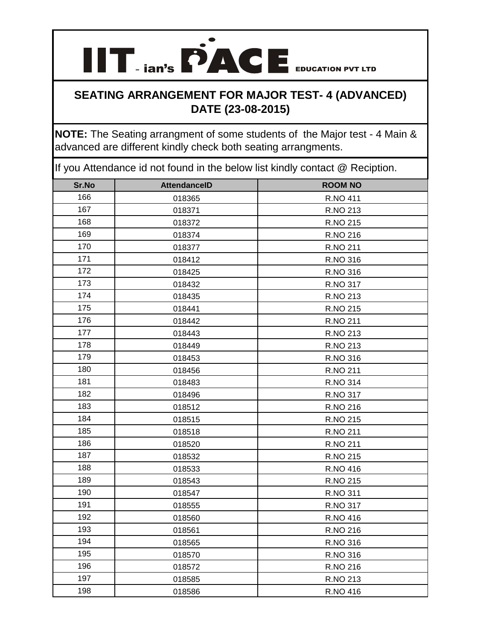**IIT ian's PACE** EDUCATION PVT LTD

**NOTE:** The Seating arrangment of some students of the Major test - 4 Main & advanced are different kindly check both seating arrangments.

| Sr.No | <b>AttendanceID</b> | <b>ROOM NO</b> |
|-------|---------------------|----------------|
| 166   | 018365              | R.NO 411       |
| 167   | 018371              | R.NO 213       |
| 168   | 018372              | R.NO 215       |
| 169   | 018374              | R.NO 216       |
| 170   | 018377              | R.NO 211       |
| 171   | 018412              | R.NO 316       |
| 172   | 018425              | R.NO 316       |
| 173   | 018432              | R.NO 317       |
| 174   | 018435              | R.NO 213       |
| 175   | 018441              | R.NO 215       |
| 176   | 018442              | R.NO 211       |
| 177   | 018443              | R.NO 213       |
| 178   | 018449              | R.NO 213       |
| 179   | 018453              | R.NO 316       |
| 180   | 018456              | R.NO 211       |
| 181   | 018483              | R.NO 314       |
| 182   | 018496              | R.NO 317       |
| 183   | 018512              | R.NO 216       |
| 184   | 018515              | R.NO 215       |
| 185   | 018518              | R.NO 211       |
| 186   | 018520              | R.NO 211       |
| 187   | 018532              | R.NO 215       |
| 188   | 018533              | R.NO 416       |
| 189   | 018543              | R.NO 215       |
| 190   | 018547              | R.NO 311       |
| 191   | 018555              | R.NO 317       |
| 192   | 018560              | R.NO 416       |
| 193   | 018561              | R.NO 216       |
| 194   | 018565              | R.NO 316       |
| 195   | 018570              | R.NO 316       |
| 196   | 018572              | R.NO 216       |
| 197   | 018585              | R.NO 213       |
| 198   | 018586              | R.NO 416       |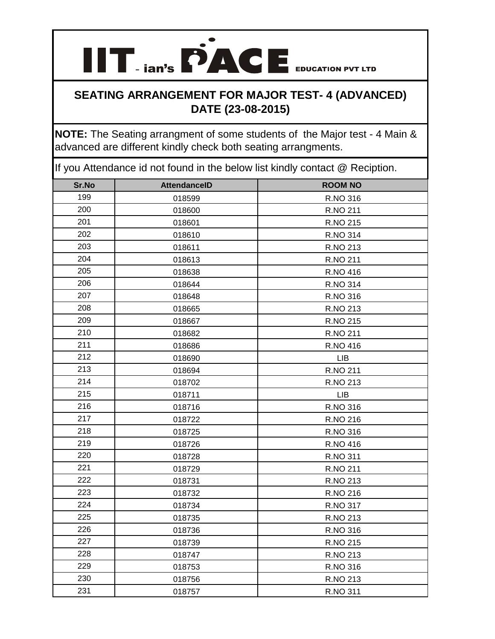**IIT ian's PACE** EDUCATION PVT LTD

**NOTE:** The Seating arrangment of some students of the Major test - 4 Main & advanced are different kindly check both seating arrangments.

| Sr.No | <b>AttendanceID</b> | <b>ROOM NO</b> |
|-------|---------------------|----------------|
| 199   | 018599              | R.NO 316       |
| 200   | 018600              | R.NO 211       |
| 201   | 018601              | R.NO 215       |
| 202   | 018610              | R.NO 314       |
| 203   | 018611              | R.NO 213       |
| 204   | 018613              | R.NO 211       |
| 205   | 018638              | R.NO 416       |
| 206   | 018644              | R.NO 314       |
| 207   | 018648              | R.NO 316       |
| 208   | 018665              | R.NO 213       |
| 209   | 018667              | R.NO 215       |
| 210   | 018682              | R.NO 211       |
| 211   | 018686              | R.NO 416       |
| 212   | 018690              | <b>LIB</b>     |
| 213   | 018694              | R.NO 211       |
| 214   | 018702              | R.NO 213       |
| 215   | 018711              | LIB            |
| 216   | 018716              | R.NO 316       |
| 217   | 018722              | R.NO 216       |
| 218   | 018725              | R.NO 316       |
| 219   | 018726              | R.NO 416       |
| 220   | 018728              | R.NO 311       |
| 221   | 018729              | R.NO 211       |
| 222   | 018731              | R.NO 213       |
| 223   | 018732              | R.NO 216       |
| 224   | 018734              | R.NO 317       |
| 225   | 018735              | R.NO 213       |
| 226   | 018736              | R.NO 316       |
| 227   | 018739              | R.NO 215       |
| 228   | 018747              | R.NO 213       |
| 229   | 018753              | R.NO 316       |
| 230   | 018756              | R.NO 213       |
| 231   | 018757              | R.NO 311       |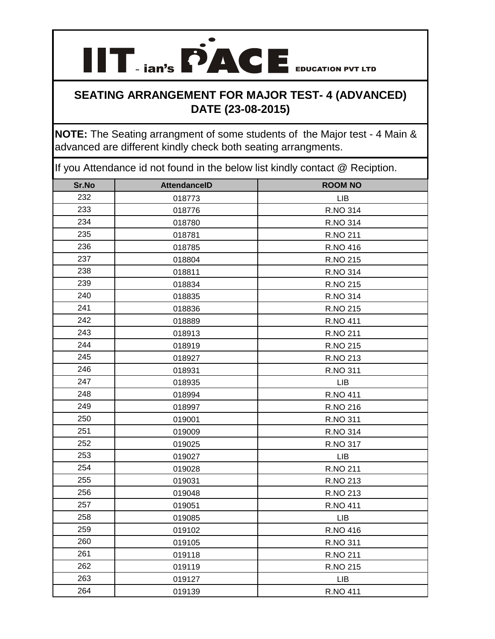**IIT ian's PACE** EDUCATION PVT LTD

**NOTE:** The Seating arrangment of some students of the Major test - 4 Main & advanced are different kindly check both seating arrangments.

| Sr.No | <b>AttendanceID</b> | <b>ROOM NO</b>  |
|-------|---------------------|-----------------|
| 232   | 018773              | <b>LIB</b>      |
| 233   | 018776              | R.NO 314        |
| 234   | 018780              | R.NO 314        |
| 235   | 018781              | R.NO 211        |
| 236   | 018785              | R.NO 416        |
| 237   | 018804              | R.NO 215        |
| 238   | 018811              | R.NO 314        |
| 239   | 018834              | R.NO 215        |
| 240   | 018835              | R.NO 314        |
| 241   | 018836              | R.NO 215        |
| 242   | 018889              | <b>R.NO 411</b> |
| 243   | 018913              | R.NO 211        |
| 244   | 018919              | R.NO 215        |
| 245   | 018927              | R.NO 213        |
| 246   | 018931              | R.NO 311        |
| 247   | 018935              | <b>LIB</b>      |
| 248   | 018994              | R.NO 411        |
| 249   | 018997              | R.NO 216        |
| 250   | 019001              | R.NO 311        |
| 251   | 019009              | R.NO 314        |
| 252   | 019025              | R.NO 317        |
| 253   | 019027              | <b>LIB</b>      |
| 254   | 019028              | R.NO 211        |
| 255   | 019031              | R.NO 213        |
| 256   | 019048              | R.NO 213        |
| 257   | 019051              | R.NO 411        |
| 258   | 019085              | <b>LIB</b>      |
| 259   | 019102              | R.NO 416        |
| 260   | 019105              | R.NO 311        |
| 261   | 019118              | R.NO 211        |
| 262   | 019119              | R.NO 215        |
| 263   | 019127              | LIB             |
| 264   | 019139              | <b>R.NO 411</b> |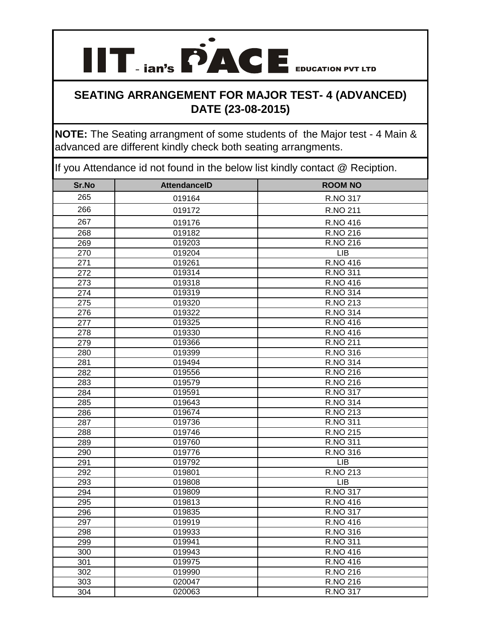**NOTE:** The Seating arrangment of some students of the Major test - 4 Main & advanced are different kindly check both seating arrangments.

| Sr.No            | <b>AttendanceID</b> | <b>ROOM NO</b>          |
|------------------|---------------------|-------------------------|
| 265              | 019164              | R.NO 317                |
| 266              | 019172              | R.NO 211                |
| 267              | 019176              | R.NO 416                |
| 268              | 019182              | R.NO 216                |
| 269              | 019203              | $RNO$ 216               |
| 270              | 019204              | <b>LIB</b>              |
| 271              | 019261              | R.NO 416                |
| $\overline{272}$ | 019314              | R.NO 311                |
| 273              | 019318              | <b>R.NO 416</b>         |
| $\overline{274}$ | 019319              | R.NO 314                |
| 275              | 019320              | R.NO 213                |
| 276              | 019322              | R.NO 314                |
| $\overline{277}$ | 019325              | R.NO 416                |
| 278              | 019330              | <b>R.NO 416</b>         |
| 279              | 019366              | <b>R.NO 211</b>         |
| 280              | 019399              | R.NO 316                |
| 281              | 019494              | <b>R.NO 314</b>         |
| 282              | 019556              | R.NO 216                |
| 283              | 019579              | R.NO 216                |
| 284              | 019591              | R.NO 317                |
| 285              | 019643              | R.NO 314                |
| 286              | 019674              | R.NO 213                |
| 287              | 019736              | R.NO 311                |
| 288              | 019746              | R.NO 215                |
| 289              | 019760              | R.NO 311                |
| 290              | 019776              | R.NO 316                |
| 291              | 019792              | <b>LIB</b>              |
| 292              | 019801              | R.NO 213                |
| 293              | 019808              | <b>LIB</b>              |
| 294              | 019809              | R.NO 317                |
| 295              | 019813              | R.NO 416                |
| 296              | 019835              | R.NO 317                |
| 297              | 019919              | $\overline{R}$ . NO 416 |
| 298              | 019933              | R.NO 316                |
| 299              | 019941              | R.NO 311                |
| 300              | 019943              | R.NO 416                |
| 301              | 019975              | <b>R.NO 416</b>         |
| 302              | 019990              | R.NO 216                |
| $\overline{303}$ | 020047              | R.NO 216                |
| 304              | 020063              | <b>R.NO 317</b>         |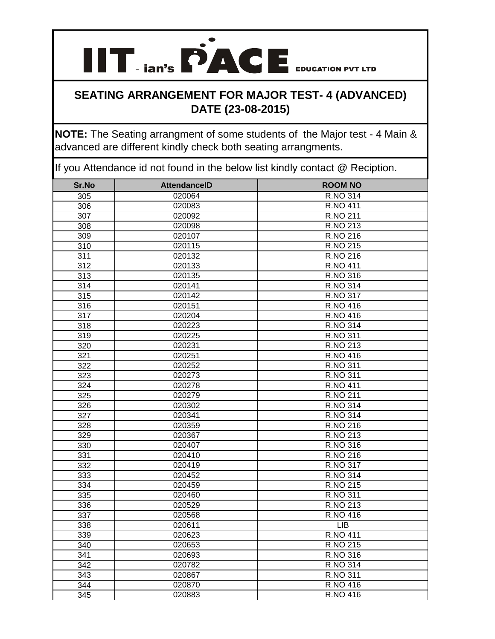**NOTE:** The Seating arrangment of some students of the Major test - 4 Main & advanced are different kindly check both seating arrangments.

| Sr.No            | <b>AttendanceID</b> | <b>ROOM NO</b>  |
|------------------|---------------------|-----------------|
| 305              | 020064              | R.NO 314        |
| 306              | 020083              | <b>R.NO 411</b> |
| 307              | 020092              | R.NO 211        |
| 308              | 020098              | R.NO 213        |
| 309              | 020107              | R.NO 216        |
| $\overline{310}$ | 020115              | R.NO 215        |
| $\overline{311}$ | 020132              | <b>R.NO 216</b> |
| 312              | 020133              | <b>R.NO 411</b> |
| 313              | 020135              | R.NO 316        |
| 314              | 020141              | <b>R.NO 314</b> |
| $\overline{315}$ | 020142              | <b>R.NO 317</b> |
| 316              | 020151              | R.NO 416        |
| 317              | 020204              | R.NO 416        |
| 318              | 020223              | <b>R.NO 314</b> |
| 319              | 020225              | R.NO 311        |
| 320              | 020231              | <b>R.NO 213</b> |
| 321              | 020251              | <b>R.NO 416</b> |
| 322              | 020252              | R.NO 311        |
| 323              | 020273              | R.NO 311        |
| 324              | 020278              | <b>R.NO 411</b> |
| 325              | 020279              | <b>R.NO 211</b> |
| 326              | 020302              | R.NO 314        |
| 327              | 020341              | R.NO 314        |
| 328              | 020359              | R.NO 216        |
| 329              | 020367              | R.NO 213        |
| 330              | 020407              | R.NO 316        |
| 331              | 020410              | R.NO 216        |
| 332              | 020419              | <b>R.NO 317</b> |
| 333              | 020452              | <b>R.NO 314</b> |
| 334              | 020459              | R.NO 215        |
| 335              | 020460              | R.NO 311        |
| 336              | 020529              | R.NO 213        |
| 337              | 020568              | <b>R.NO 416</b> |
| 338              | 020611              | <b>LIB</b>      |
| 339              | 020623              | <b>R.NO 411</b> |
| 340              | 020653              | <b>R.NO 215</b> |
| 341              | 020693              | <b>R.NO 316</b> |
| $\overline{342}$ | 020782              | <b>R.NO 314</b> |
| 343              | 020867              | R.NO 311        |
| 344              | 020870              | <b>R.NO 416</b> |
| 345              | 020883              | <b>R.NO 416</b> |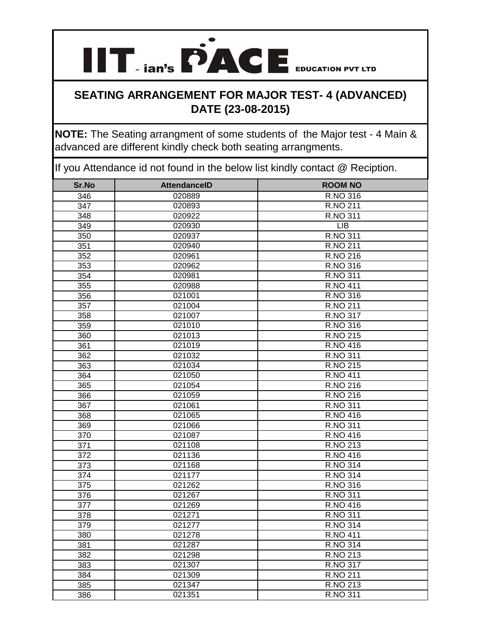**NOTE:** The Seating arrangment of some students of the Major test - 4 Main & advanced are different kindly check both seating arrangments.

| Sr.No | <b>AttendanceID</b> | <b>ROOM NO</b>         |
|-------|---------------------|------------------------|
| 346   | 020889              | R.NO 316               |
| 347   | 020893              | R.NO 211               |
| 348   | 020922              | R.NO 311               |
| 349   | 020930              | <b>LIB</b>             |
| 350   | 020937              | R.NO 311               |
| 351   | 020940              | R.NO 211               |
| 352   | 020961              | R.NO 216               |
| 353   | 020962              | R.NO 316               |
| 354   | 020981              | R.NO 311               |
| 355   | 020988              | <b>R.NO 411</b>        |
| 356   | 021001              | R.NO 316               |
| 357   | 021004              | R.NO 211               |
| 358   | 021007              | R.NO 317               |
| 359   | 021010              | R.NO 316               |
| 360   | 021013              | R.NO 215               |
| 361   | 021019              | R.NO 416               |
| 362   | 021032              | R.NO 311               |
| 363   | 021034              | R.NO 215               |
| 364   | 021050              | <b>R.NO 411</b>        |
| 365   | 021054              | R.NO 216               |
| 366   | 021059              | R.NO 216               |
| 367   | 021061              | R.NO 311               |
| 368   | 021065              | R.NO 416               |
| 369   | 021066              | R.NO 311               |
| 370   | 021087              | R.NO 416               |
| 371   | 021108              | R.NO 213               |
| 372   | 021136              | R.NO 416               |
| 373   | 021168              | R.NO 314               |
| 374   | 021177              | $\overline{R}$ .NO 314 |
| 375   | 021262              | R.NO 316               |
| 376   | 021267              | R.NO 311               |
| 377   | 021269              | R.NO 416               |
| 378   | 021271              | R.NO 311               |
| 379   | 021277              | R.NO 314               |
| 380   | 021278              | <b>R.NO 411</b>        |
| 381   | 021287              | R.NO 314               |
| 382   | 021298              | R.NO 213               |
| 383   | 021307              | R.NO 317               |
| 384   | 021309              | R.NO 211               |
| 385   | 021347              | R.NO 213               |
| 386   | 021351              | R.NO 311               |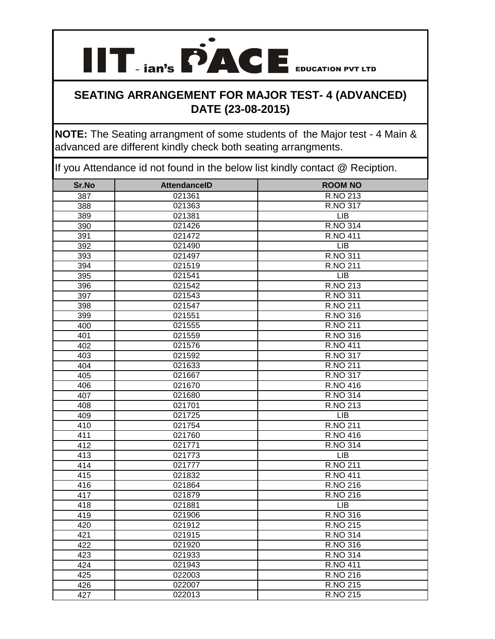# **IIT ian's PACE** EDUCATION PVT LTD

#### **SEATING ARRANGEMENT FOR MAJOR TEST- 4 (ADVANCED) DATE (23-08-2015)**

**NOTE:** The Seating arrangment of some students of the Major test - 4 Main & advanced are different kindly check both seating arrangments.

| Sr.No | <b>AttendanceID</b> | <b>ROOM NO</b>         |
|-------|---------------------|------------------------|
| 387   | 021361              | R.NO 213               |
| 388   | 021363              | R.NO 317               |
| 389   | 021381              | <b>LIB</b>             |
| 390   | 021426              | <b>R.NO 314</b>        |
| 391   | 021472              | <b>R.NO 411</b>        |
| 392   | 021490              | <b>LIB</b>             |
| 393   | 021497              | R.NO 311               |
| 394   | 021519              | R.NO 211               |
| 395   | 021541              | <b>LIB</b>             |
| 396   | 021542              | R.NO 213               |
| 397   | 021543              | R.NO 311               |
| 398   | 021547              | R.NO 211               |
| 399   | 021551              | R.NO 316               |
| 400   | 021555              | R.NO 211               |
| 401   | 021559              | R.NO 316               |
| 402   | 021576              | <b>R.NO 411</b>        |
| 403   | 021592              | R.NO 317               |
| 404   | 021633              | R.NO 211               |
| 405   | 021667              | R.NO 317               |
| 406   | 021670              | $\overline{R}$ .NO 416 |
| 407   | 021680              | <b>R.NO 314</b>        |
| 408   | 021701              | R.NO 213               |
| 409   | 021725              | <b>LIB</b>             |
| 410   | 021754              | R.NO 211               |
| 411   | 021760              | R.NO 416               |
| 412   | 021771              | R.NO 314               |
| 413   | 021773              | <b>LIB</b>             |
| 414   | 021777              | R.NO 211               |
| 415   | 021832              | R.NO 411               |
| 416   | 021864              | R.NO 216               |
| 417   | 021879              | R.NO 216               |
| 418   | 021881              | <b>LIB</b>             |
| 419   | 021906              | R.NO 316               |
| 420   | 021912              | R.NO 215               |
| 421   | 021915              | R.NO 314               |
| 422   | 021920              | R.NO 316               |
| 423   | 021933              | R.NO 314               |
| 424   | 021943              | <b>R.NO 411</b>        |
| 425   | 022003              | <b>R.NO 216</b>        |
| 426   | 022007              | R.NO 215               |
| 427   | 022013              | R.NO 215               |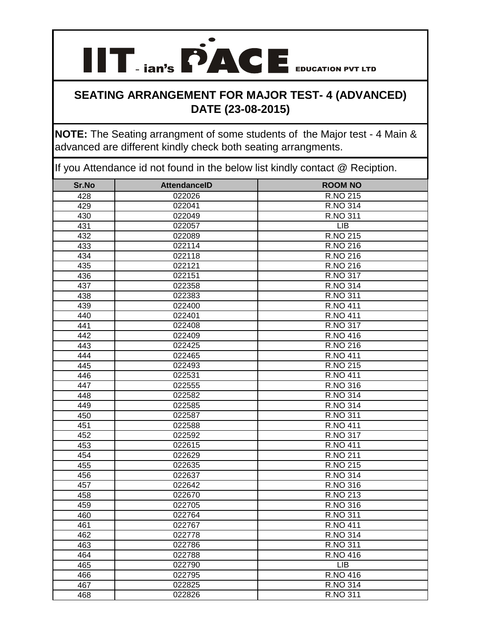**NOTE:** The Seating arrangment of some students of the Major test - 4 Main & advanced are different kindly check both seating arrangments.

| Sr.No | <b>AttendanceID</b> | <b>ROOM NO</b>  |
|-------|---------------------|-----------------|
| 428   | 022026              | R.NO 215        |
| 429   | 022041              | R.NO 314        |
| 430   | 022049              | R.NO 311        |
| 431   | 022057              | <b>LIB</b>      |
| 432   | 022089              | R.NO 215        |
| 433   | 022114              | R.NO 216        |
| 434   | 022118              | R.NO 216        |
| 435   | 022121              | R.NO 216        |
| 436   | 022151              | R.NO 317        |
| 437   | 022358              | R.NO 314        |
| 438   | 022383              | R.NO 311        |
| 439   | 022400              | <b>R.NO 411</b> |
| 440   | 022401              | <b>R.NO 411</b> |
| 441   | 022408              | R.NO 317        |
| 442   | 022409              | R.NO 416        |
| 443   | 022425              | R.NO 216        |
| 444   | 022465              | <b>R.NO 411</b> |
| 445   | 022493              | R.NO 215        |
| 446   | 022531              | <b>R.NO 411</b> |
| 447   | 022555              | R.NO 316        |
| 448   | 022582              | R.NO 314        |
| 449   | 022585              | R.NO 314        |
| 450   | 022587              | R.NO 311        |
| 451   | 022588              | <b>R.NO 411</b> |
| 452   | 022592              | R.NO 317        |
| 453   | 022615              | <b>R.NO 411</b> |
| 454   | 022629              | R.NO 211        |
| 455   | 022635              | R.NO 215        |
| 456   | 022637              | R.NO 314        |
| 457   | 022642              | R.NO 316        |
| 458   | 022670              | R.NO 213        |
| 459   | 022705              | R.NO 316        |
| 460   | 022764              | R.NO 311        |
| 461   | 022767              | <b>R.NO 411</b> |
| 462   | 022778              | R.NO 314        |
| 463   | 022786              | R.NO 311        |
| 464   | 022788              | R.NO 416        |
| 465   | 022790              | LIB             |
| 466   | 022795              | R.NO 416        |
| 467   | 022825              | R.NO 314        |
| 468   | 022826              | R.NO 311        |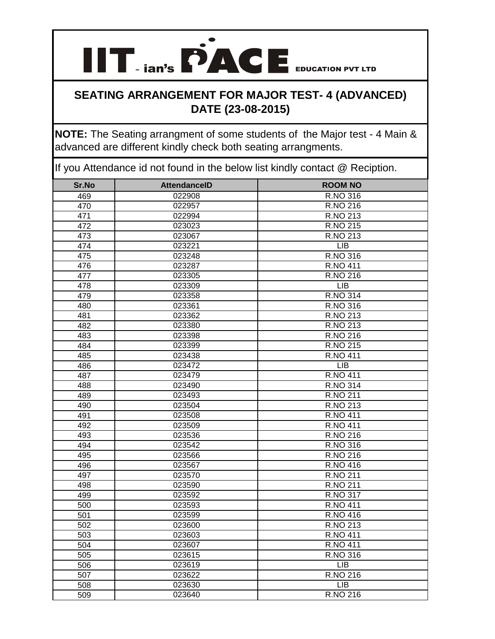**IIT ian's PACE** EDUCATION PVT LTD

**NOTE:** The Seating arrangment of some students of the Major test - 4 Main & advanced are different kindly check both seating arrangments.

| Sr.No | <b>AttendanceID</b> | <b>ROOM NO</b>         |
|-------|---------------------|------------------------|
| 469   | 022908              | R.NO 316               |
| 470   | 022957              | R.NO 216               |
| 471   | 022994              | R.NO 213               |
| 472   | 023023              | R.NO 215               |
| 473   | 023067              | R.NO 213               |
| 474   | 023221              | <b>LIB</b>             |
| 475   | 023248              | R.NO 316               |
| 476   | 023287              | <b>R.NO 411</b>        |
| 477   | 023305              | $\overline{R}$ .NO 216 |
| 478   | 023309              | <b>LIB</b>             |
| 479   | 023358              | R.NO 314               |
| 480   | 023361              | R.NO 316               |
| 481   | 023362              | R.NO 213               |
| 482   | 023380              | R.NO 213               |
| 483   | 023398              | <b>R.NO 216</b>        |
| 484   | 023399              | <b>R.NO 215</b>        |
| 485   | 023438              | <b>R.NO 411</b>        |
| 486   | 023472              | <b>LIB</b>             |
| 487   | 023479              | <b>R.NO 411</b>        |
| 488   | 023490              | <b>R.NO 314</b>        |
| 489   | 023493              | R.NO 211               |
| 490   | 023504              | R.NO 213               |
| 491   | 023508              | R.NO 411               |
| 492   | 023509              | <b>R.NO 411</b>        |
| 493   | 023536              | R.NO 216               |
| 494   | 023542              | R.NO 316               |
| 495   | 023566              | R.NO 216               |
| 496   | 023567              | R.NO 416               |
| 497   | 023570              | R.NO 211               |
| 498   | 023590              | R.NO 211               |
| 499   | 023592              | R.NO 317               |
| 500   | 023593              | <b>R.NO 411</b>        |
| 501   | 023599              | R.NO 416               |
| 502   | 023600              | R.NO 213               |
| 503   | 023603              | <b>R.NO 411</b>        |
| 504   | 023607              | <b>R.NO 411</b>        |
| 505   | 023615              | R.NO 316               |
| 506   | 023619              | LIB                    |
| 507   | 023622              | <b>R.NO 216</b>        |
| 508   | 023630              | LIB                    |
| 509   | 023640              | R.NO 216               |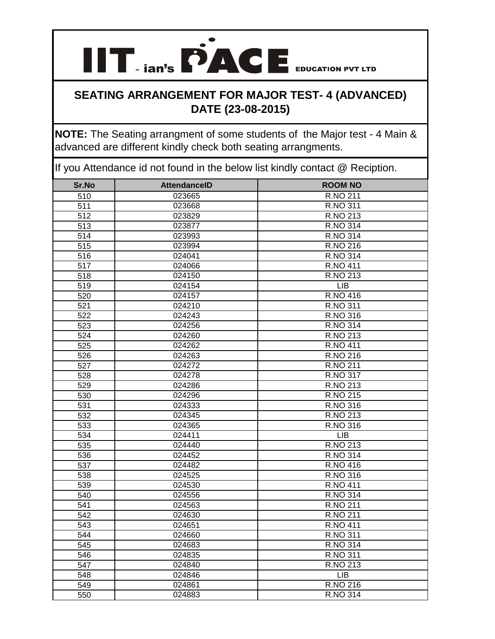**NOTE:** The Seating arrangment of some students of the Major test - 4 Main & advanced are different kindly check both seating arrangments.

| Sr.No | <b>AttendanceID</b> | <b>ROOM NO</b>  |
|-------|---------------------|-----------------|
| 510   | 023665              | R.NO 211        |
| 511   | 023668              | R.NO 311        |
| 512   | 023829              | R.NO 213        |
| 513   | 023877              | R.NO 314        |
| 514   | 023993              | R.NO 314        |
| 515   | 023994              | R.NO 216        |
| 516   | 024041              | R.NO 314        |
| 517   | 024066              | <b>R.NO 411</b> |
| 518   | 024150              | R.NO 213        |
| 519   | 024154              | <b>LIB</b>      |
| 520   | 024157              | R.NO 416        |
| 521   | 024210              | R.NO 311        |
| 522   | 024243              | R.NO 316        |
| 523   | 024256              | R.NO 314        |
| 524   | 024260              | R.NO 213        |
| 525   | 024262              | <b>R.NO 411</b> |
| 526   | 024263              | <b>R.NO 216</b> |
| 527   | 024272              | R.NO 211        |
| 528   | 024278              | R.NO 317        |
| 529   | 024286              | R.NO 213        |
| 530   | 024296              | R.NO 215        |
| 531   | 024333              | R.NO 316        |
| 532   | 024345              | R.NO 213        |
| 533   | 024365              | R.NO 316        |
| 534   | 024411              | <b>LIB</b>      |
| 535   | 024440              | R.NO 213        |
| 536   | 024452              | R.NO 314        |
| 537   | 024482              | R.NO 416        |
| 538   | 024525              | R.NO 316        |
| 539   | 024530              | <b>R.NO 411</b> |
| 540   | 024556              | R.NO 314        |
| 541   | 024563              | R.NO 211        |
| 542   | 024630              | R.NO 211        |
| 543   | 024651              | <b>R.NO 411</b> |
| 544   | 024660              | R.NO 311        |
| 545   | 024683              | R.NO 314        |
| 546   | 024835              | R.NO 311        |
| 547   | 024840              | R.NO 213        |
| 548   | 024846              | LIB             |
| 549   | 024861              | R.NO 216        |
| 550   | 024883              | R.NO 314        |